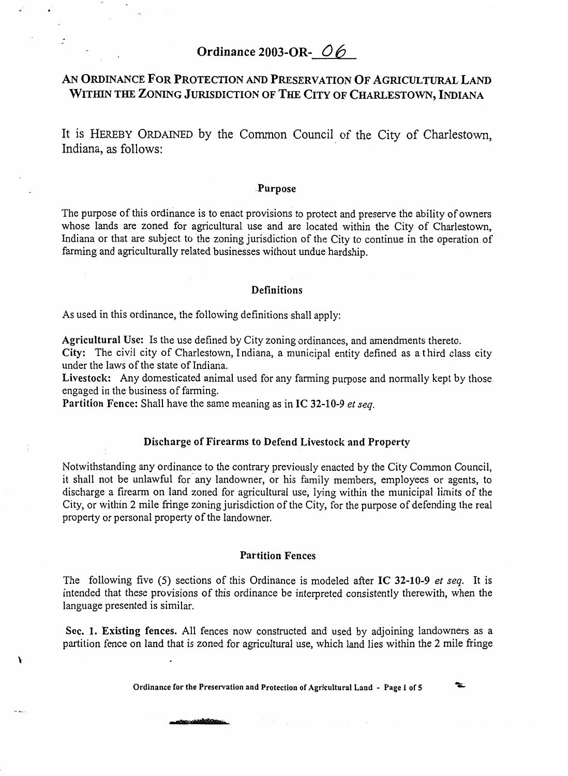# **Ordinance 2003-OR-** *0 6*

## *AN* **ORDINANCE FOR PROTECTION** *AND* **PRESERVATION OF AGRICULTURAL LAND WITHIN THE ZONING JURISDICTION OF THE CITY OF CHARLESTOWN, INDIANA**

It is HEREBY ORDAINED by the Common Council of the City of Charlestown, Indiana, as follows:

#### **.Purpose**

The purpose of this ordinance is to enact provisions to protect and preserve the ability of owners whose lands are zoned for agricultural use and are located within the City of Charlestown, Indiana or that are subject to the zoning jurisdiction of the City to continue in the operation of farming and agriculturally related businesses without undue hardship.

#### **Definitions**

As used in this ordinance, the following definitions shall apply:

**Agricultural Use:** Is the use defined by City zoning ordinances, and amendments thereto.

**City:** The civil city of Charlestown, Indiana, a municipal entity defined as a third class city under the laws of the state of Indiana.

**Livestock:** Any domesticated animal used for any farming purpose and normally kept by those engaged in the business of farming.

**Partition Fence:** Shall have the same meaning as in **IC 32-10-9** *el seq.* 

## **Discharge of Firearms to Defend Livestock and Property**

Notwithstanding any ordinance to the contrary previously enacted by the City Common Council, it shall not be unlawful for any landowner, or his family members, employees or agents, to discharge a firearm on land zoned for agricultural use, lying within the municipal limits of the City, or within 2 mile fringe zoning jurisdiction of the City, for the purpose of defending the real property or personal property of the landowner.

#### **Partition Fences**

The following five (5) sections of this Ordinance is modeled after **IC 32-10-9** *et seq.* It is intended that these provisions of this ordinance be interpreted consistently therewith, when the language presented is similar.

**Sec. 1. Existing fences.** All fences now constructed and used by adjoining landowners as a partition fence on land that is zoned for agricultural use, which land lies within the **2** mile fringe

**Ordinance for the Preservation and Protection of Agricultural Land** - **Page 1 of 5** 

÷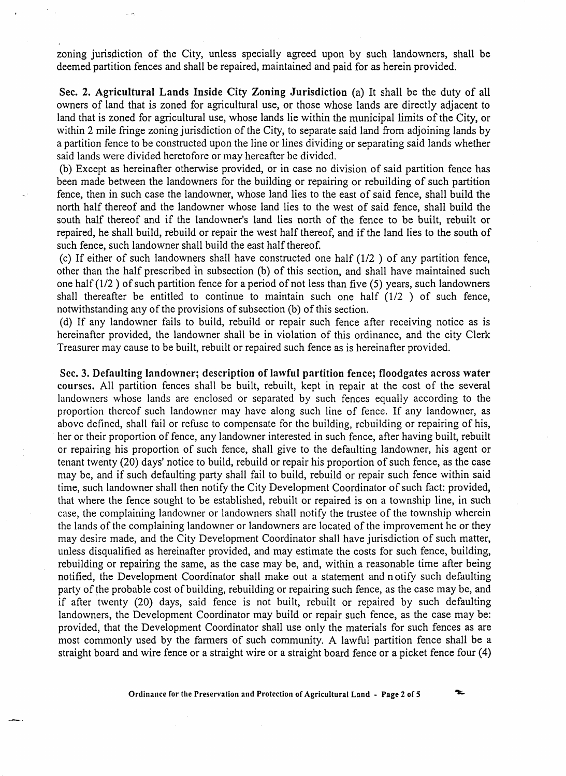zoning jurisdiction of the City, unless specially agreed upon by such landowners, shall be deemed partition fences and shall be repaired, maintained and paid for as herein provided.

**Sec. 2. Agricultural Lands Inside City Zoning Jurisdiction** (a) It shall be the duty of all owners of land that is zoned for agricultural use, or those whose lands are directly adjacent to land that is zoned for agricultural use, whose lands lie within the municipal limits of the City, or within 2 mile fringe zoning jurisdiction of the City, to separate said land from adjoining lands by a partition fence to be constructed upon the line or lines dividing or separating said lands whether said lands were divided heretofore or may hereafter be divided.

Except as hereinafter otherwise provided, or in case no division of said partition fence has been made between the landowners for the building or repairing or rebuilding of such partition fence, then in such case the landowner, whose land lies to the east of said fence, shall build the north half thereof and the landowner whose land lies to the west of said fence, shall build the south half thereof and if the landowner's land lies north of the fence to be built, rebuilt or repaired, he shall build, rebuild or repair the west half thereof, and if the land lies to the south of such fence, such landowner shall build the east half thereof.

(c) If either of such landowners shall have constructed one half  $(1/2)$  of any partition fence, other than the half prescribed in subsection (b) of this section, and shall have maintained such one half (1/2 ) of such partition fence for a period of not less than five (5) years, such landowners shall thereafter be entitled to continue to maintain such one half (1/2 ) of such fence, notwithstanding any of the provisions of subsection (b) of this section.

(d) If any landowner fails to build, rebuild or repair such fence after receiving notice as is hereinafter provided, the landowner shall be in violation of this ordinance, and the city Clerk Treasurer may cause to be built, rebuilt or repaired such fence as is hereinafter provided.

**Sec. 3. Defaulting landowner; description of lawful partition fence; floodgates across water courses. All** partition fences shall be built, rebuilt, kept in repair at the cost of the several landowners whose lands are enclosed or separated by such fences equally according to the proportion thereof such landowner may have along such line of fence. If any landowner, as above defined, shall fail or refuse to compensate for the building, rebuilding or repairing of his, her or their proportion of fence, any landowner interested in such fence, after having built, rebuilt or repairing his proportion of such fence, shall give to the defaulting landowner, his agent or tenant twenty (20) days' notice to build, rebuild or repair his proportion of such fence, as the case may be, and if such defaulting party shall fail to build, rebuild or repair such fence within said time, such landowner shall then notify the City Development Coordinator of such fact: provided, that where the fence sought to be established, rebuilt or repaired is on a township line, in such case, the complaining landowner or landowners shall notify the trustee of the township wherein the lands of the complaining landowner or landowners are located of the improvement he or they may desire made, and the City Development Coordinator shall have jurisdiction of such matter, unless disqualified as hereinafter provided, and may estimate the costs for such fence, building, rebuilding or repairing the same, as the case may be, and, within **a** reasonable time after being notified, the Development Coordinator shall make out a statement and n otify such defaulting party of the probable cost of building, rebuilding or repairing such fence, as the case may be, and if after twenty (20) days, said fence is not built, rebuilt or repaired by such defaulting landowners, the Development Coordinator may build or repair such fence, as the case may be: provided, that the Development Coordinator shall use only the materials for such fences as are most commonly used by the farmers of such community. **A** lawful partition fence shall be a straight board and wire fence or a straight wire or a straight board fence or a picket fence four (4)

**Ordinance for the Preservation and Protection of Agricultural Land** - **Page 2 of 5** 

 $\tilde{}$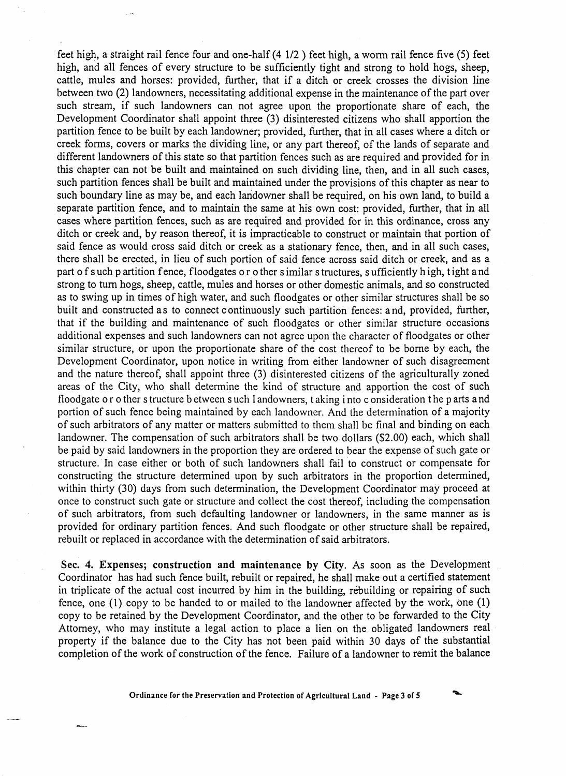feet high, a straight rail fence four and one-half **(4** 1/2 ) feet high, a worm rail fence five (5) feet high, and all fences of every structure to be sufficiently tight and strong to hold hogs, sheep, cattle, mules and horses: provided, further, that if a ditch or creek crosses the division line between two **(2)** landowners, necessitating additional expense in the maintenance of the part over such stream, if such landowners can not agree upon the proportionate share of each, the Development Coordinator shall appoint three (3) disinterested citizens who shall apportion the partition fence to be built by each landowner; provided, further, that in all cases where a ditch or creek forms, covers or marks the dividing line, or any part thereof, of the lands of separate and different landowners of this state so that partition fences such as are required and provided for in this chapter can not be built and maintained on such dividing line, then, and in all such cases, such partition fences shall be built and maintained under the provisions of this chapter as near to such boundary line as may be, and each landowner shall be required, on his own land, to build a separate partition fence, and to maintain the same at his own cost: provided, further, that in all cases where partition fences, such as are required and provided for in this ordinance, cross any ditch or creek and, by reason thereof, it is impracticable to construct or maintain that portion of said fence as would cross said ditch or creek as a stationary fence, then, and in all such cases, there shall be erected, in lieu of such portion of said fence across said ditch or creek, and as a part of s uch p artition fence, floodgates or o ther s imilar s tructures, s ufficiently h igh, t ight and strong to turn hogs, sheep, cattle, mules and horses or other domestic animals, and so constructed as to swing up in times of high water, and such floodgates or other similar structures shall be so built and constructed as to connect c ontinuously such partition fences: and, provided, further, that if the building and maintenance of such floodgates or other similar structure occasions additional expenses and such landowners can not agree upon the character of floodgates or other similar structure, or upon the proportionate share of the cost thereof to be borne by each, the Development Coordinator, upon notice in writing from either landowner of such disagreement and the nature thereof, shall appoint three **(3)** disinterested citizens of the agriculturally zoned areas of the City, who shall determine the kind of structure and apportion the cost of such floodgate or o ther s tructure b etween s uch 1 andowners, taking i nto c onsideration the p arts and portion of such fence being maintained by each landowner. And the determination of a majority of such arbitrators of any matter or matters submitted to them shall be final and binding on each landowner. The compensation of such arbitrators shall be two dollars (\$2.00) each, which shall be paid by said landowners in the proportion they are ordered to bear the expense of such gate or structure. In case either or both of such landowners shall fail to construct or compensate for constructing the structure determined upon by such arbitrators in the proportion determined, within thirty (30) days from such determination, the Development Coordinator may proceed at once to construct such gate or structure and collect the cost thereof, including the compensation of such arbitrators, from such defaulting landowner or landowners, in the same manner as is provided for ordinary partition fences. And such floodgate or other structure shall be repaired, rebuilt or replaced in accordance with the determination of said arbitrators.

**Sec. 4. Expenses; construction and maintenance by City, As** soon as the Development Coordinator has had such fence built, rebuilt or repaired, he shall make out a certified statement in triplicate of the actual cost incurred by him in the building, rebuilding or repairing of such fence, one (1) copy to be handed to or mailed to the landowner affected by the work, one (1) copy to be retained by the Development Coordinator, and the other to be forwarded to the City Attorney, who may institute a legal action to place a lien on the obligated landowners real property if the balance due to the City has not been paid within 30 days of the substantial completion of the work of construction of the fence. Failure of a landowner to remit the balance

**Ordinance for the Preservation and Protection of Agricultural Land - Page 3 of 5**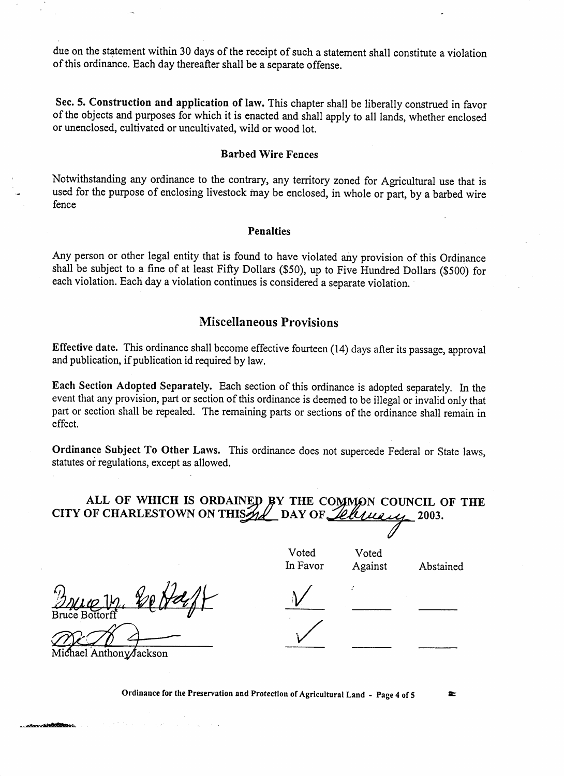due on the statement within 30 days of the receipt of such a statement shall constitute a violation of this ordinance Each day thereafter shall be a separate offense.

**Sec. 5. Construction and application of law.** This chapter shall be liberally construed in favor of the objects and purposes for which it is enacted and shall apply to all lands, whether enclosed or unenclosed, cultivated or uncultivated, wild or wood lot.

#### **Barbed Wire Fences**

Notwithstanding any ordinance to the contrary, any territory zoned for Agricultural use that is used for the purpose of enclosing livestock may be enclosed, in whole or part, by a barbed wire fence

### **Penalties**

Any person or other legal entity that is found to have violated any provision of this Ordinance shall be subject to a fine of at least Fifty Dollars (\$5O), up to Five Hundred Dollars (\$500) for each violation. Each day a violation continues is considered a separate violation.

## **Miscellaneous Provisions**

**Effective date.** This ordinance shall become effective fourteen (14) days after its passage, approval and publication, if publication id required by law.

**Each Section Adopted Separately.** Each section of this ordinance is adopted separately. In the event that any provision, part or section of this ordinance is deemed to be illegal or invalid only that part or section shall be repealed. The remaining parts or sections of the ordinance shall remain in effect.

**Ordinance Subject To Other Laws.** This ordinance does not supercede Federal or State laws, statutes or regulations, except **as** allowed.

## ALL OF WHICH IS ORDAINED BY THE COMMON COUNCIL OF THE **OF CHARLESTOWN** ON THIS ALLY DAY OF *Letter* and 2003. **CITY OF CHARLESTOWN ON THIS 2001** DAY OF *Lellingue* 2003.

Voted Voted In Favor Against Abstained

 $\bullet$ 

hael Anthony∕Jackson

**Ordinance for the Preservation and Protection of Agricultural Land** - **Page 4 of 5**